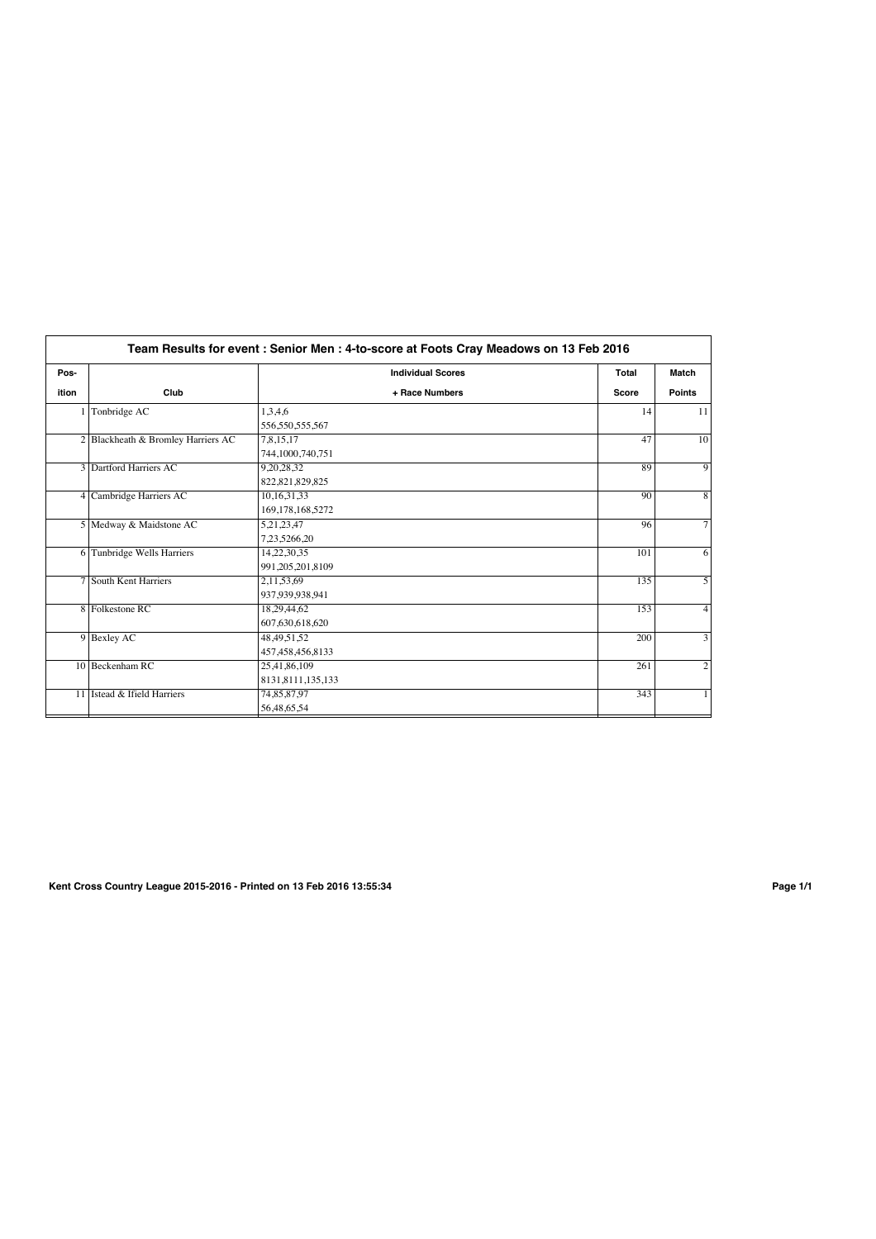| Team Results for event : Senior Men : 4-to-score at Foots Cray Meadows on 13 Feb 2016 |                                    |                                    |       |                |
|---------------------------------------------------------------------------------------|------------------------------------|------------------------------------|-------|----------------|
| Pos-                                                                                  |                                    | <b>Individual Scores</b>           | Total | Match          |
| ition                                                                                 | Club                               | + Race Numbers                     | Score | <b>Points</b>  |
|                                                                                       | Tonbridge AC                       | 1,3,4,6<br>556,550,555,567         | 14    | 11             |
|                                                                                       | 2 Blackheath & Bromley Harriers AC | 7,8,15,17<br>744,1000,740,751      | 47    | 10             |
|                                                                                       | 3 Dartford Harriers AC             | 9,20,28,32<br>822, 821, 829, 825   | 89    | $\overline{9}$ |
|                                                                                       | 4 Cambridge Harriers AC            | 10,16,31,33<br>169, 178, 168, 5272 | 90    | $\overline{8}$ |
|                                                                                       | 5 Medway & Maidstone AC            | 5,21,23,47<br>7,23,5266,20         | 96    | $\overline{7}$ |
|                                                                                       | 6 Tunbridge Wells Harriers         | 14,22,30,35<br>991,205,201,8109    | 101   | 6              |
|                                                                                       | 7 South Kent Harriers              | 2,11,53,69<br>937,939,938,941      | 135   | $\overline{5}$ |
|                                                                                       | 8 Folkestone RC                    | 18,29,44,62<br>607,630,618,620     | 153   | $\overline{4}$ |
|                                                                                       | 9 Bexley AC                        | 48, 49, 51, 52<br>457,458,456,8133 | 200   | $\overline{3}$ |
|                                                                                       | 10 Beckenham RC                    | 25,41,86,109<br>8131,8111,135,133  | 261   | $\overline{2}$ |
|                                                                                       | 11 Istead & Ifield Harriers        | 74,85,87,97<br>56,48,65,54         | 343   | $\overline{1}$ |

**Kent Cross Country League 2015-2016 - Printed on 13 Feb 2016 13:55:34 Page 1/1**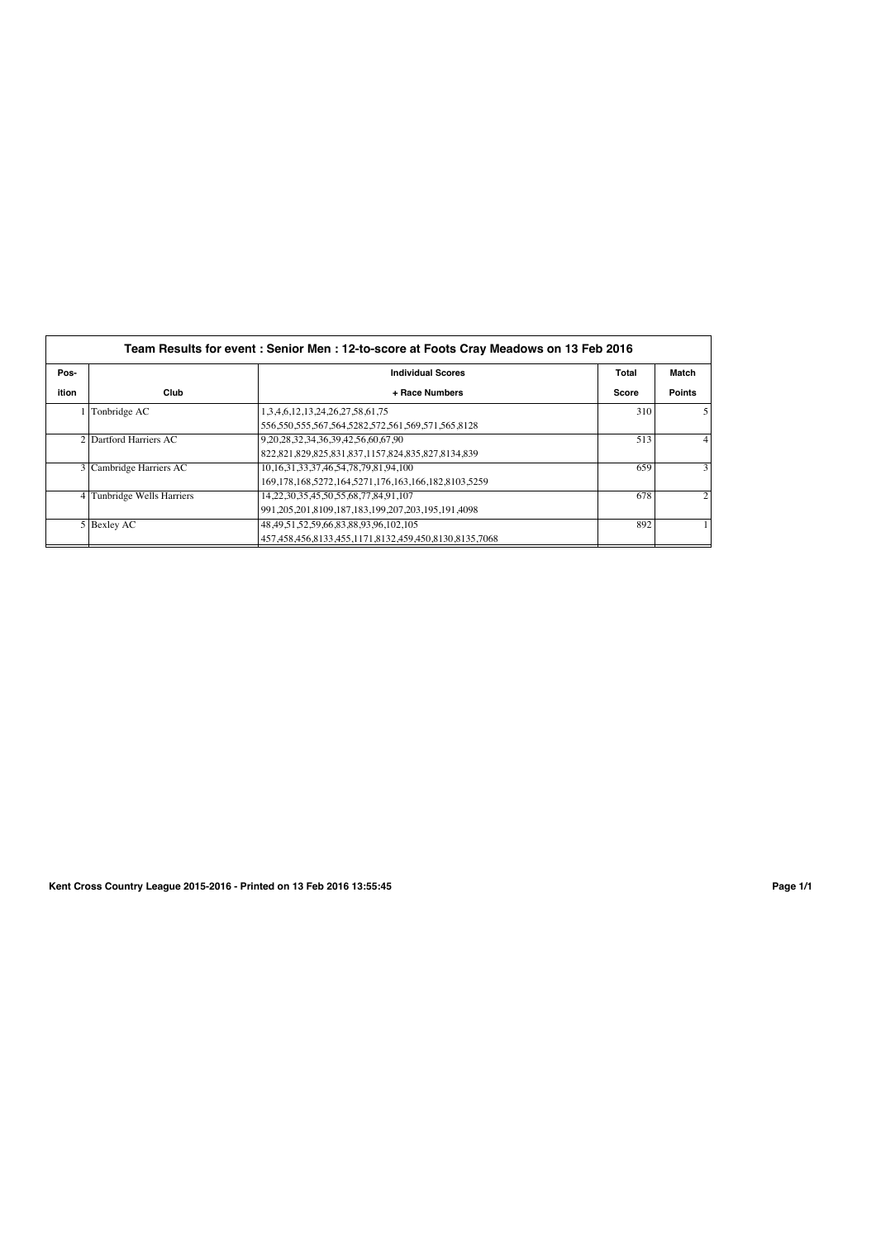| Team Results for event: Senior Men: 12-to-score at Foots Cray Meadows on 13 Feb 2016 |                          |                                                                |       |                |
|--------------------------------------------------------------------------------------|--------------------------|----------------------------------------------------------------|-------|----------------|
| Pos-                                                                                 |                          | <b>Individual Scores</b>                                       | Total | Match          |
| ition                                                                                | Club                     | + Race Numbers                                                 | Score | <b>Points</b>  |
|                                                                                      | Tonbridge AC             | 1,3,4,6,12,13,24,26,27,58,61,75                                | 310   | 5              |
|                                                                                      |                          | 556,550,555,567,564,5282,572,561,569,571,565,8128              |       |                |
|                                                                                      | 2 Dartford Harriers AC   | 9,20,28,32,34,36,39,42,56,60,67,90                             | 513   | $\overline{4}$ |
|                                                                                      |                          | 822,821,829,825,831,837,1157,824,835,827,8134,839              |       |                |
|                                                                                      | 3 Cambridge Harriers AC  | 10, 16, 31, 33, 37, 46, 54, 78, 79, 81, 94, 100                | 659   | 3              |
|                                                                                      |                          | 169, 178, 168, 5272, 164, 5271, 176, 163, 166, 182, 8103, 5259 |       |                |
| 4 <sup>1</sup>                                                                       | Tunbridge Wells Harriers | 14, 22, 30, 35, 45, 50, 55, 68, 77, 84, 91, 107                | 678   | 2              |
|                                                                                      |                          | 991,205,201,8109,187,183,199,207,203,195,191,4098              |       |                |
|                                                                                      | 5 Bexley AC              | 48,49,51,52,59,66,83,88,93,96,102,105                          | 892   |                |
|                                                                                      |                          | 457.458.456.8133.455.1171.8132.459.450.8130.8135.7068          |       |                |

**Kent Cross Country League 2015-2016 - Printed on 13 Feb 2016 13:55:45 Page 1/1**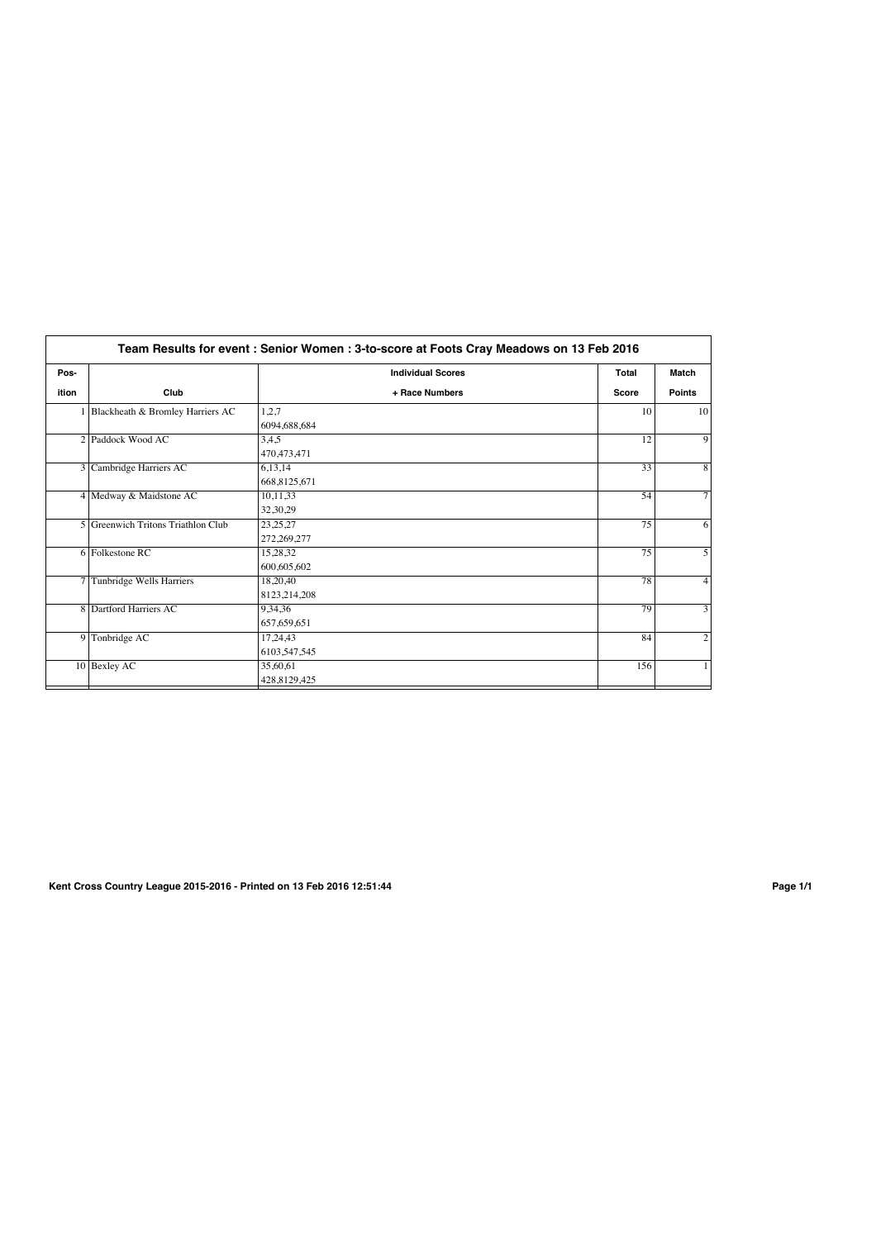| Team Results for event : Senior Women : 3-to-score at Foots Cray Meadows on 13 Feb 2016 |                                    |                          |       |                   |
|-----------------------------------------------------------------------------------------|------------------------------------|--------------------------|-------|-------------------|
| Pos-                                                                                    |                                    | <b>Individual Scores</b> | Total | Match             |
| ition                                                                                   | Club                               | + Race Numbers           | Score | <b>Points</b>     |
|                                                                                         | Blackheath & Bromley Harriers AC   | 1.2,7                    | 10    | 10                |
|                                                                                         |                                    | 6094,688,684             |       |                   |
|                                                                                         | 2 Paddock Wood AC                  | 3.4.5                    | 12    | $\overline{9}$    |
|                                                                                         |                                    | 470,473,471              |       |                   |
| $\frac{3}{2}$                                                                           | Cambridge Harriers AC              | 6.13.14                  | 33    | $\overline{8}$    |
|                                                                                         |                                    | 668,8125,671             |       |                   |
|                                                                                         | 4 Medway & Maidstone AC            | 10,11,33                 | 54    | $\overline{\tau}$ |
|                                                                                         |                                    | 32,30,29                 |       |                   |
|                                                                                         | 5 Greenwich Tritons Triathlon Club | 23, 25, 27               | 75    | 6                 |
|                                                                                         |                                    | 272,269,277              |       |                   |
|                                                                                         | 6 Folkestone RC                    | 15,28,32                 | 75    | 5                 |
|                                                                                         |                                    | 600,605,602              |       |                   |
| 7 I                                                                                     | <b>Tunbridge Wells Harriers</b>    | 18.20.40                 | 78    | $\overline{4}$    |
|                                                                                         |                                    | 8123,214,208             |       |                   |
| 8 <sup>1</sup>                                                                          | Dartford Harriers AC               | 9,34,36                  | 79    | $\overline{3}$    |
|                                                                                         |                                    | 657,659,651              |       |                   |
| 9                                                                                       | Tonbridge AC                       | 17,24,43                 | 84    | $\overline{2}$    |
|                                                                                         |                                    | 6103,547,545             |       |                   |
|                                                                                         | 10 Bexley AC                       | 35,60,61                 | 156   | $\mathbf{1}$      |
|                                                                                         |                                    | 428,8129,425             |       |                   |

**Kent Cross Country League 2015-2016 - Printed on 13 Feb 2016 12:51:44 Page 1/1**